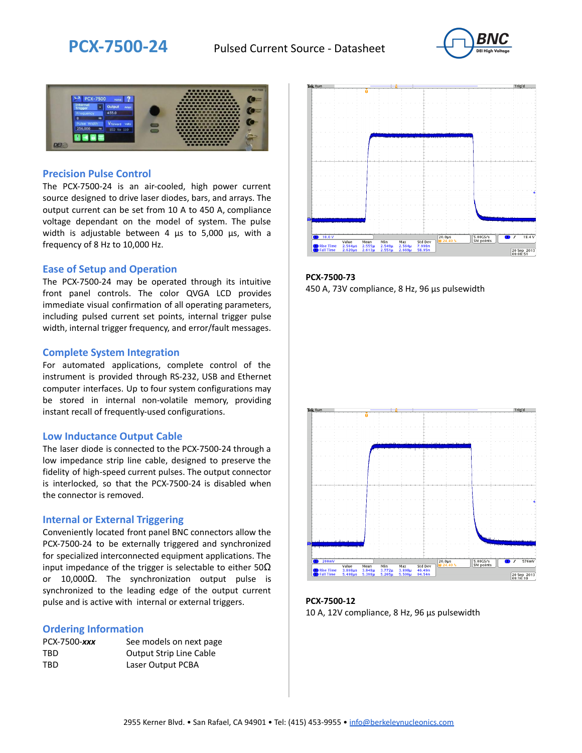



### **Precision Pulse Control**

The PCX-7500-24 is an air-cooled, high power current source designed to drive laser diodes, bars, and arrays. The output current can be set from 10 A to 450 A, compliance voltage dependant on the model of system. The pulse width is adjustable between 4 µs to 5,000 µs, with a frequency of 8 Hz to 10,000 Hz.

#### **Ease of Setup and Operation**

The PCX-7500-24 may be operated through its intuitive front panel controls. The color QVGA LCD provides immediate visual confirmation of all operating parameters, including pulsed current set points, internal trigger pulse width, internal trigger frequency, and error/fault messages.

#### **Complete System Integration**

For automated applications, complete control of the instrument is provided through RS-232, USB and Ethernet computer interfaces. Up to four system configurations may be stored in internal non-volatile memory, providing instant recall of frequently-used configurations.

#### **Low Inductance Output Cable**

The laser diode is connected to the PCX-7500-24 through a low impedance strip line cable, designed to preserve the fidelity of high-speed current pulses. The output connector is interlocked, so that the PCX-7500-24 is disabled when the connector is removed.

#### **Internal or External Triggering**

Conveniently located front panel BNC connectors allow the PCX-7500-24 to be externally triggered and synchronized for specialized interconnected equipment applications. The input impedance of the trigger is selectable to either  $50\Omega$ or 10,000Ω. The synchronization output pulse is synchronized to the leading edge of the output current pulse and is active with internal or external triggers.

#### **Ordering Information**

| PCX-7500-xxx | See models on next page        |
|--------------|--------------------------------|
| TBD          | <b>Output Strip Line Cable</b> |
| TBD          | Laser Output PCBA              |



**PCX-7500-73** 450 A, 73V compliance, 8 Hz, 96 µs pulsewidth



**PCX-7500-12** 10 A, 12V compliance, 8 Hz, 96 μs pulsewidth